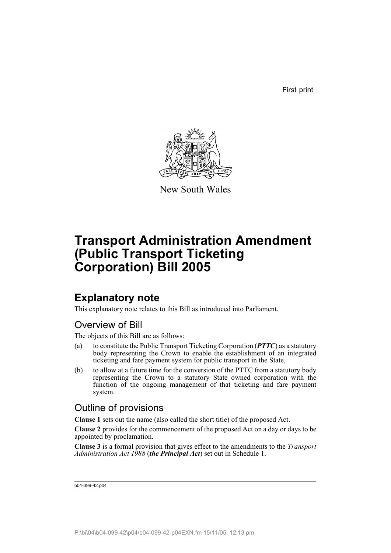First print



New South Wales

# **Transport Administration Amendment (Public Transport Ticketing Corporation) Bill 2005**

# **Explanatory note**

This explanatory note relates to this Bill as introduced into Parliament.

# Overview of Bill

The objects of this Bill are as follows:

- (a) to constitute the Public Transport Ticketing Corporation (*PTTC*) as a statutory body representing the Crown to enable the establishment of an integrated ticketing and fare payment system for public transport in the State,
- (b) to allow at a future time for the conversion of the PTTC from a statutory body representing the Crown to a statutory State owned corporation with the function of the ongoing management of that ticketing and fare payment system.

# Outline of provisions

**Clause 1** sets out the name (also called the short title) of the proposed Act.

**Clause 2** provides for the commencement of the proposed Act on a day or days to be appointed by proclamation.

**Clause 3** is a formal provision that gives effect to the amendments to the *Transport Administration Act 1988* (*the Principal Act*) set out in Schedule 1.

b04-099-42.p04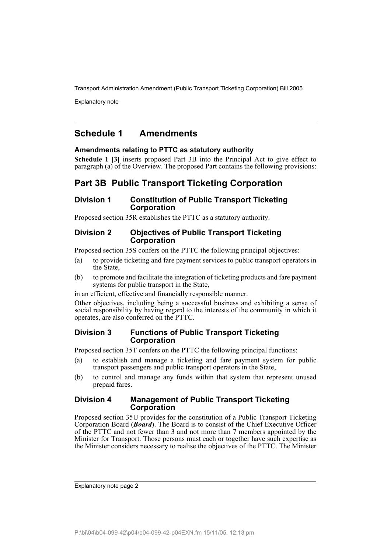Explanatory note

## **Schedule 1 Amendments**

## **Amendments relating to PTTC as statutory authority**

**Schedule 1 [3]** inserts proposed Part 3B into the Principal Act to give effect to paragraph (a) of the Overview. The proposed Part contains the following provisions:

## **Part 3B Public Transport Ticketing Corporation**

## **Division 1 Constitution of Public Transport Ticketing Corporation**

Proposed section 35R establishes the PTTC as a statutory authority.

## **Division 2 Objectives of Public Transport Ticketing Corporation**

Proposed section 35S confers on the PTTC the following principal objectives:

- (a) to provide ticketing and fare payment services to public transport operators in the State,
- (b) to promote and facilitate the integration of ticketing products and fare payment systems for public transport in the State,

in an efficient, effective and financially responsible manner.

Other objectives, including being a successful business and exhibiting a sense of social responsibility by having regard to the interests of the community in which it operates, are also conferred on the PTTC.

## **Division 3 Functions of Public Transport Ticketing Corporation**

Proposed section 35T confers on the PTTC the following principal functions:

- (a) to establish and manage a ticketing and fare payment system for public transport passengers and public transport operators in the State,
- (b) to control and manage any funds within that system that represent unused prepaid fares.

## **Division 4 Management of Public Transport Ticketing Corporation**

Proposed section 35U provides for the constitution of a Public Transport Ticketing Corporation Board (*Board*). The Board is to consist of the Chief Executive Officer of the PTTC and not fewer than 3 and not more than 7 members appointed by the Minister for Transport. Those persons must each or together have such expertise as the Minister considers necessary to realise the objectives of the PTTC. The Minister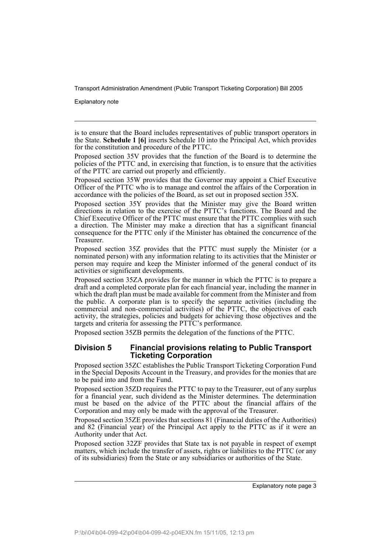Explanatory note

is to ensure that the Board includes representatives of public transport operators in the State. **Schedule 1 [6]** inserts Schedule 10 into the Principal Act, which provides for the constitution and procedure of the PTTC.

Proposed section 35V provides that the function of the Board is to determine the policies of the PTTC and, in exercising that function, is to ensure that the activities of the PTTC are carried out properly and efficiently.

Proposed section 35W provides that the Governor may appoint a Chief Executive Officer of the PTTC who is to manage and control the affairs of the Corporation in accordance with the policies of the Board, as set out in proposed section 35X.

Proposed section 35Y provides that the Minister may give the Board written directions in relation to the exercise of the PTTC's functions. The Board and the Chief Executive Officer of the PTTC must ensure that the PTTC complies with such a direction. The Minister may make a direction that has a significant financial consequence for the PTTC only if the Minister has obtained the concurrence of the Treasurer.

Proposed section 35Z provides that the PTTC must supply the Minister (or a nominated person) with any information relating to its activities that the Minister or person may require and keep the Minister informed of the general conduct of its activities or significant developments.

Proposed section 35ZA provides for the manner in which the PTTC is to prepare a draft and a completed corporate plan for each financial year, including the manner in which the draft plan must be made available for comment from the Minister and from the public. A corporate plan is to specify the separate activities (including the commercial and non-commercial activities) of the PTTC, the objectives of each activity, the strategies, policies and budgets for achieving those objectives and the targets and criteria for assessing the PTTC's performance.

Proposed section 35ZB permits the delegation of the functions of the PTTC.

## **Division 5 Financial provisions relating to Public Transport Ticketing Corporation**

Proposed section 35ZC establishes the Public Transport Ticketing Corporation Fund in the Special Deposits Account in the Treasury, and provides for the monies that are to be paid into and from the Fund.

Proposed section 35ZD requires the PTTC to pay to the Treasurer, out of any surplus for a financial year, such dividend as the Minister determines. The determination must be based on the advice of the PTTC about the financial affairs of the Corporation and may only be made with the approval of the Treasurer.

Proposed section 35ZE provides that sections 81 (Financial duties of the Authorities) and 82 (Financial year) of the Principal Act apply to the PTTC as if it were an Authority under that Act.

Proposed section 32ZF provides that State tax is not payable in respect of exempt matters, which include the transfer of assets, rights or liabilities to the PTTC (or any of its subsidiaries) from the State or any subsidiaries or authorities of the State.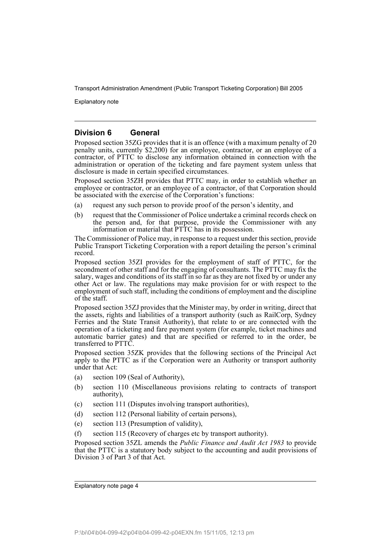Explanatory note

## **Division 6 General**

Proposed section 35ZG provides that it is an offence (with a maximum penalty of 20 penalty units, currently \$2,200) for an employee, contractor, or an employee of a contractor, of PTTC to disclose any information obtained in connection with the administration or operation of the ticketing and fare payment system unless that disclosure is made in certain specified circumstances.

Proposed section 35ZH provides that PTTC may, in order to establish whether an employee or contractor, or an employee of a contractor, of that Corporation should be associated with the exercise of the Corporation's functions:

- (a) request any such person to provide proof of the person's identity, and
- (b) request that the Commissioner of Police undertake a criminal records check on the person and, for that purpose, provide the Commissioner with any information or material that PTTC has in its possession.

The Commissioner of Police may, in response to a request under this section, provide Public Transport Ticketing Corporation with a report detailing the person's criminal record.

Proposed section 35ZI provides for the employment of staff of PTTC, for the secondment of other staff and for the engaging of consultants. The PTTC may fix the salary, wages and conditions of its staff in so far as they are not fixed by or under any other Act or law. The regulations may make provision for or with respect to the employment of such staff, including the conditions of employment and the discipline of the staff.

Proposed section 35ZJ provides that the Minister may, by order in writing, direct that the assets, rights and liabilities of a transport authority (such as RailCorp, Sydney Ferries and the State Transit Authority), that relate to or are connected with the operation of a ticketing and fare payment system (for example, ticket machines and automatic barrier gates) and that are specified or referred to in the order, be transferred to PTTC.

Proposed section 35ZK provides that the following sections of the Principal Act apply to the PTTC as if the Corporation were an Authority or transport authority under that Act:

- (a) section 109 (Seal of Authority),
- (b) section 110 (Miscellaneous provisions relating to contracts of transport authority),
- (c) section 111 (Disputes involving transport authorities),
- (d) section 112 (Personal liability of certain persons),
- (e) section 113 (Presumption of validity),
- (f) section 115 (Recovery of charges etc by transport authority).

Proposed section 35ZL amends the *Public Finance and Audit Act 1983* to provide that the PTTC is a statutory body subject to the accounting and audit provisions of Division 3 of Part 3 of that Act.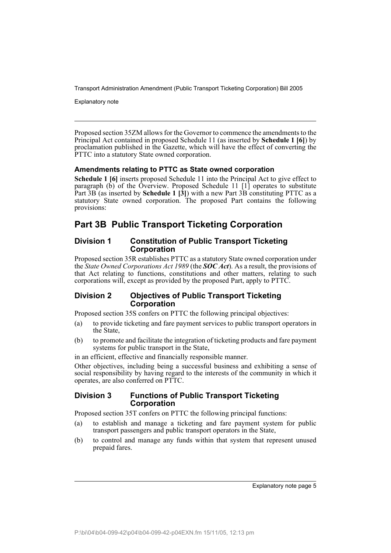Explanatory note

Proposed section 35ZM allows for the Governor to commence the amendments to the Principal Act contained in proposed Schedule 11 (as inserted by **Schedule 1 [6]**) by proclamation published in the Gazette, which will have the effect of converting the PTTC into a statutory State owned corporation.

## **Amendments relating to PTTC as State owned corporation**

**Schedule 1 [6]** inserts proposed Schedule 11 into the Principal Act to give effect to paragraph (b) of the Overview. Proposed Schedule 11 [1] operates to substitute Part 3B (as inserted by **Schedule 1 [3]**) with a new Part 3B constituting PTTC as a statutory State owned corporation. The proposed Part contains the following provisions:

## **Part 3B Public Transport Ticketing Corporation**

## **Division 1 Constitution of Public Transport Ticketing Corporation**

Proposed section 35R establishes PTTC as a statutory State owned corporation under the *State Owned Corporations Act 1989* (the *SOC Act*). As a result, the provisions of that Act relating to functions, constitutions and other matters, relating to such corporations will, except as provided by the proposed Part, apply to PTTC.

## **Division 2 Objectives of Public Transport Ticketing Corporation**

Proposed section 35S confers on PTTC the following principal objectives:

- (a) to provide ticketing and fare payment services to public transport operators in the State,
- (b) to promote and facilitate the integration of ticketing products and fare payment systems for public transport in the State,

in an efficient, effective and financially responsible manner.

Other objectives, including being a successful business and exhibiting a sense of social responsibility by having regard to the interests of the community in which it operates, are also conferred on PTTC.

## **Division 3 Functions of Public Transport Ticketing Corporation**

Proposed section 35T confers on PTTC the following principal functions:

- (a) to establish and manage a ticketing and fare payment system for public transport passengers and public transport operators in the State,
- (b) to control and manage any funds within that system that represent unused prepaid fares.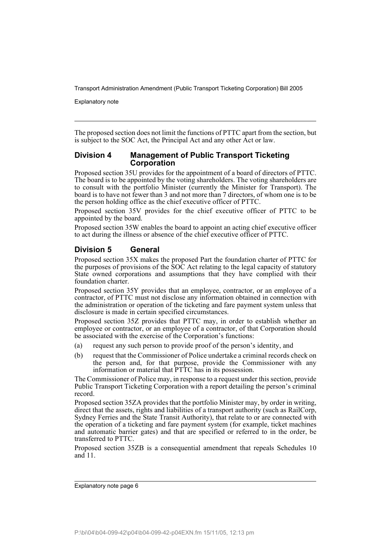Explanatory note

The proposed section does not limit the functions of PTTC apart from the section, but is subject to the SOC Act, the Principal Act and any other Act or law.

## **Division 4 Management of Public Transport Ticketing Corporation**

Proposed section 35U provides for the appointment of a board of directors of PTTC. The board is to be appointed by the voting shareholders. The voting shareholders are to consult with the portfolio Minister (currently the Minister for Transport). The board is to have not fewer than 3 and not more than 7 directors, of whom one is to be the person holding office as the chief executive officer of PTTC.

Proposed section 35V provides for the chief executive officer of PTTC to be appointed by the board.

Proposed section 35W enables the board to appoint an acting chief executive officer to act during the illness or absence of the chief executive officer of PTTC.

## **Division 5 General**

Proposed section 35X makes the proposed Part the foundation charter of PTTC for the purposes of provisions of the SOC Act relating to the legal capacity of statutory State owned corporations and assumptions that they have complied with their foundation charter.

Proposed section 35Y provides that an employee, contractor, or an employee of a contractor, of PTTC must not disclose any information obtained in connection with the administration or operation of the ticketing and fare payment system unless that disclosure is made in certain specified circumstances.

Proposed section 35Z provides that PTTC may, in order to establish whether an employee or contractor, or an employee of a contractor, of that Corporation should be associated with the exercise of the Corporation's functions:

- (a) request any such person to provide proof of the person's identity, and
- (b) request that the Commissioner of Police undertake a criminal records check on the person and, for that purpose, provide the Commissioner with any information or material that PTTC has in its possession.

The Commissioner of Police may, in response to a request under this section, provide Public Transport Ticketing Corporation with a report detailing the person's criminal record.

Proposed section 35ZA provides that the portfolio Minister may, by order in writing, direct that the assets, rights and liabilities of a transport authority (such as RailCorp, Sydney Ferries and the State Transit Authority), that relate to or are connected with the operation of a ticketing and fare payment system (for example, ticket machines and automatic barrier gates) and that are specified or referred to in the order, be transferred to PTTC.

Proposed section 35ZB is a consequential amendment that repeals Schedules 10 and 11.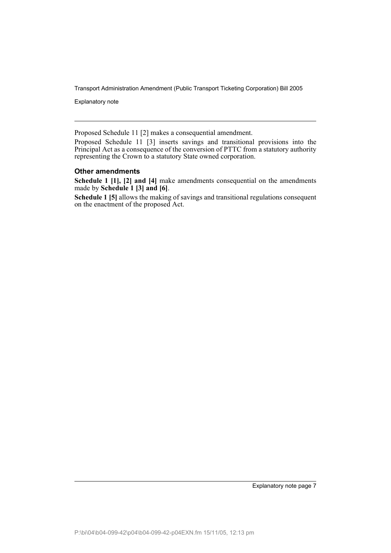Explanatory note

Proposed Schedule 11 [2] makes a consequential amendment.

Proposed Schedule 11 [3] inserts savings and transitional provisions into the Principal Act as a consequence of the conversion of PTTC from a statutory authority representing the Crown to a statutory State owned corporation.

#### **Other amendments**

**Schedule 1 [1], [2] and [4]** make amendments consequential on the amendments made by **Schedule 1 [3] and [6]**.

**Schedule 1 [5]** allows the making of savings and transitional regulations consequent on the enactment of the proposed Act.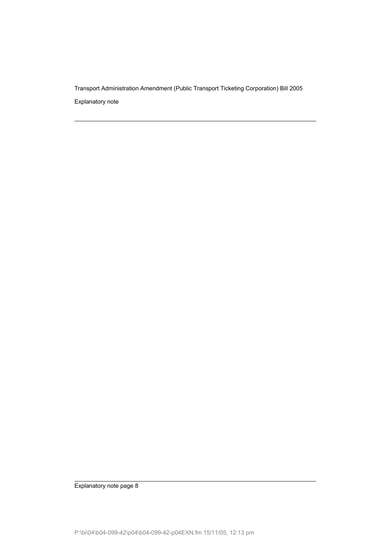Transport Administration Amendment (Public Transport Ticketing Corporation) Bill 2005 Explanatory note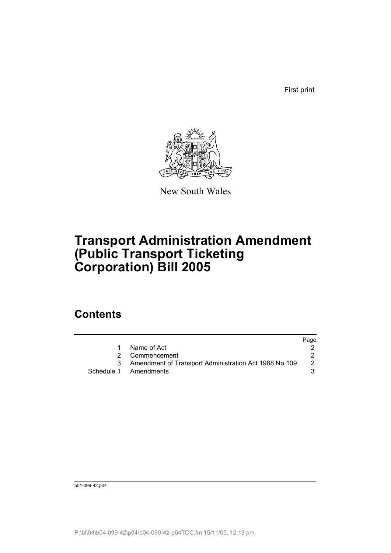First print



New South Wales

# **Transport Administration Amendment (Public Transport Ticketing Corporation) Bill 2005**

# **Contents**

|                                                       | Page |
|-------------------------------------------------------|------|
| Name of Act                                           |      |
| 2 Commencement                                        |      |
| Amendment of Transport Administration Act 1988 No 109 | 2    |
| Schedule 1 Amendments                                 |      |

b04-099-42.p04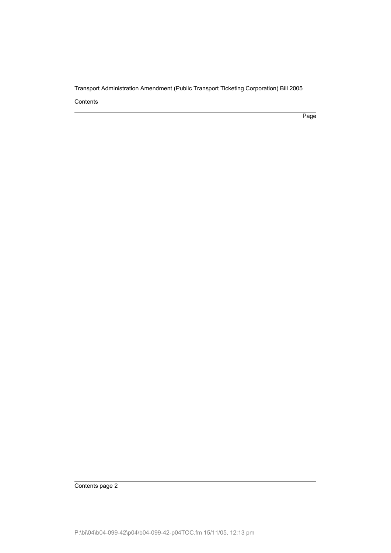Page

Contents page 2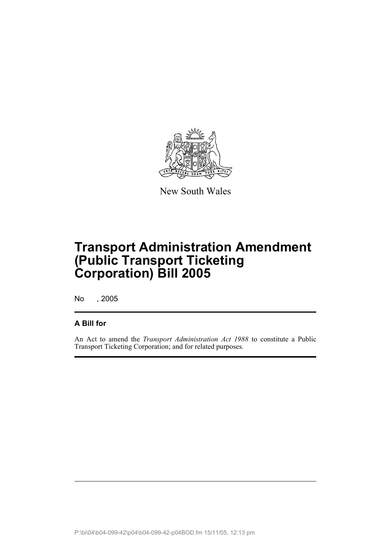

New South Wales

# **Transport Administration Amendment (Public Transport Ticketing Corporation) Bill 2005**

No , 2005

## **A Bill for**

An Act to amend the *Transport Administration Act 1988* to constitute a Public Transport Ticketing Corporation; and for related purposes.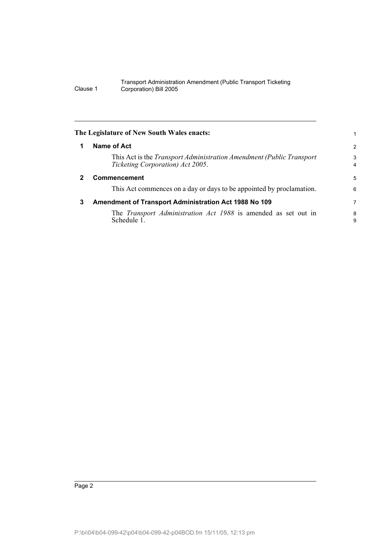|   | The Legislature of New South Wales enacts:                                                                        |                     |
|---|-------------------------------------------------------------------------------------------------------------------|---------------------|
| 1 | Name of Act                                                                                                       | $\overline{2}$      |
|   | This Act is the <i>Transport Administration Amendment (Public Transport</i> )<br>Ticketing Corporation) Act 2005. | 3<br>$\overline{4}$ |
|   | <b>Commencement</b>                                                                                               | 5                   |
|   | This Act commences on a day or days to be appointed by proclamation.                                              | 6                   |
| 3 | Amendment of Transport Administration Act 1988 No 109                                                             | 7                   |
|   | The <i>Transport Administration Act 1988</i> is amended as set out in<br>Schedule 1.                              | 8<br>9              |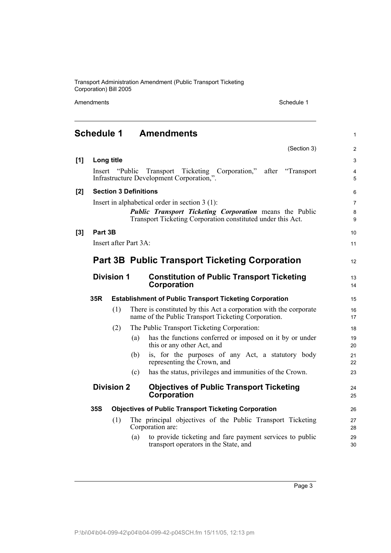Amendments Schedule 1

|     | <b>Schedule 1</b> |                              |     | <b>Amendments</b>                                                                                                             | $\mathbf{1}$   |
|-----|-------------------|------------------------------|-----|-------------------------------------------------------------------------------------------------------------------------------|----------------|
|     |                   |                              |     | (Section 3)                                                                                                                   | 2              |
| [1] |                   | Long title                   |     |                                                                                                                               | 3              |
|     | Insert            | <i>Public</i>                |     | Transport Ticketing Corporation," after<br>"Transport<br>Infrastructure Development Corporation,".                            | 4<br>5         |
| [2] |                   | <b>Section 3 Definitions</b> |     |                                                                                                                               | 6              |
|     |                   |                              |     | Insert in alphabetical order in section $3(1)$ :                                                                              | $\overline{7}$ |
|     |                   |                              |     | <b>Public Transport Ticketing Corporation</b> means the Public<br>Transport Ticketing Corporation constituted under this Act. | 8<br>9         |
| [3] | Part 3B           |                              |     |                                                                                                                               | 10             |
|     |                   | Insert after Part 3A:        |     |                                                                                                                               | 11             |
|     |                   |                              |     | <b>Part 3B Public Transport Ticketing Corporation</b>                                                                         | 12             |
|     |                   | <b>Division 1</b>            |     | <b>Constitution of Public Transport Ticketing</b><br>Corporation                                                              | 13<br>14       |
|     | 35R               |                              |     | <b>Establishment of Public Transport Ticketing Corporation</b>                                                                | 15             |
|     |                   | (1)                          |     | There is constituted by this Act a corporation with the corporate<br>name of the Public Transport Ticketing Corporation.      | 16<br>17       |
|     |                   | (2)                          |     | The Public Transport Ticketing Corporation:                                                                                   | 18             |
|     |                   |                              | (a) | has the functions conferred or imposed on it by or under<br>this or any other Act, and                                        | 19<br>20       |
|     |                   |                              | (b) | is, for the purposes of any Act, a statutory body<br>representing the Crown, and                                              | 21<br>22       |
|     |                   |                              | (c) | has the status, privileges and immunities of the Crown.                                                                       | 23             |
|     |                   | <b>Division 2</b>            |     | <b>Objectives of Public Transport Ticketing</b><br>Corporation                                                                | 24<br>25       |
|     | 35S               |                              |     | <b>Objectives of Public Transport Ticketing Corporation</b>                                                                   | 26             |
|     |                   | (1)                          |     | The principal objectives of the Public Transport Ticketing<br>Corporation are:                                                | 27<br>28       |
|     |                   |                              | (a) | to provide ticketing and fare payment services to public<br>transport operators in the State, and                             | 29<br>30       |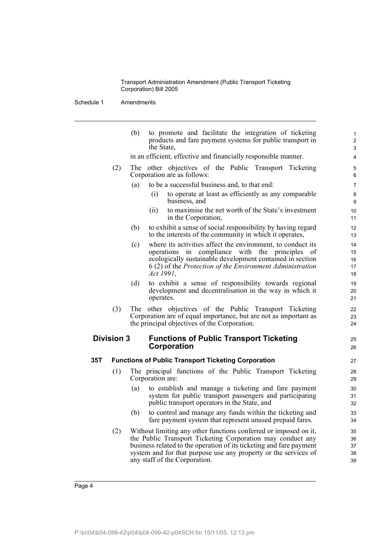Schedule 1 Amendments

|     |                   | (b) | to promote and facilitate the integration of ticketing<br>products and fare payment systems for public transport in<br>the State,                                                                                                                                                                         | 1<br>$\overline{2}$<br>3   |
|-----|-------------------|-----|-----------------------------------------------------------------------------------------------------------------------------------------------------------------------------------------------------------------------------------------------------------------------------------------------------------|----------------------------|
|     |                   |     | in an efficient, effective and financially responsible manner.                                                                                                                                                                                                                                            | $\overline{4}$             |
|     | (2)               |     | The other objectives of the Public Transport Ticketing<br>Corporation are as follows:                                                                                                                                                                                                                     | 5<br>6                     |
|     |                   | (a) | to be a successful business and, to that end:                                                                                                                                                                                                                                                             | $\overline{7}$             |
|     |                   |     | to operate at least as efficiently as any comparable<br>(i)<br>business, and                                                                                                                                                                                                                              | 8<br>9                     |
|     |                   |     | to maximise the net worth of the State's investment<br>(ii)<br>in the Corporation,                                                                                                                                                                                                                        | 10<br>11                   |
|     |                   | (b) | to exhibit a sense of social responsibility by having regard<br>to the interests of the community in which it operates,                                                                                                                                                                                   | 12<br>13                   |
|     |                   | (c) | where its activities affect the environment, to conduct its<br>operations in compliance with the principles of<br>ecologically sustainable development contained in section<br>6 (2) of the <i>Protection of the Environment Administration</i><br>Act 1991,                                              | 14<br>15<br>16<br>17<br>18 |
|     |                   | (d) | to exhibit a sense of responsibility towards regional<br>development and decentralisation in the way in which it<br>operates.                                                                                                                                                                             | 19<br>20<br>21             |
|     | (3)               | The | other objectives of the Public Transport Ticketing<br>Corporation are of equal importance, but are not as important as<br>the principal objectives of the Corporation.                                                                                                                                    | 22<br>23<br>24             |
|     | <b>Division 3</b> |     | <b>Functions of Public Transport Ticketing</b><br>Corporation                                                                                                                                                                                                                                             | 25<br>26                   |
| 35T |                   |     | <b>Functions of Public Transport Ticketing Corporation</b>                                                                                                                                                                                                                                                | 27                         |
|     | (1)               |     | The principal functions of the Public Transport Ticketing<br>Corporation are:                                                                                                                                                                                                                             | 28<br>29                   |
|     |                   | (a) | to establish and manage a ticketing and fare payment<br>system for public transport passengers and participating<br>public transport operators in the State, and                                                                                                                                          | 30<br>31<br>32             |
|     |                   | (b) | to control and manage any funds within the ticketing and<br>fare payment system that represent unused prepaid fares.                                                                                                                                                                                      | 33<br>34                   |
|     | (2)               |     | Without limiting any other functions conferred or imposed on it,<br>the Public Transport Ticketing Corporation may conduct any<br>business related to the operation of its ticketing and fare payment<br>system and for that purpose use any property or the services of<br>any staff of the Corporation. | 35<br>36<br>37<br>38<br>39 |
|     |                   |     |                                                                                                                                                                                                                                                                                                           |                            |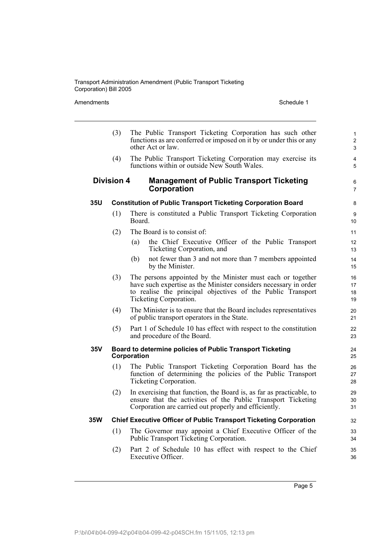### Amendments Schedule 1

|            | (3)               | The Public Transport Ticketing Corporation has such other<br>functions as are conferred or imposed on it by or under this or any<br>other Act or law.                                                                    | $\mathbf{1}$<br>$\overline{c}$<br>3 |
|------------|-------------------|--------------------------------------------------------------------------------------------------------------------------------------------------------------------------------------------------------------------------|-------------------------------------|
|            | (4)               | The Public Transport Ticketing Corporation may exercise its<br>functions within or outside New South Wales.                                                                                                              | 4<br>5                              |
|            | <b>Division 4</b> | <b>Management of Public Transport Ticketing</b><br>Corporation                                                                                                                                                           | 6<br>$\overline{7}$                 |
| 35U        |                   | <b>Constitution of Public Transport Ticketing Corporation Board</b>                                                                                                                                                      | 8                                   |
|            | (1)               | There is constituted a Public Transport Ticketing Corporation<br>Board.                                                                                                                                                  | 9<br>10                             |
|            | (2)               | The Board is to consist of:                                                                                                                                                                                              | 11                                  |
|            |                   | the Chief Executive Officer of the Public Transport<br>(a)<br>Ticketing Corporation, and                                                                                                                                 | 12<br>13                            |
|            |                   | not fewer than 3 and not more than 7 members appointed<br>(b)<br>by the Minister.                                                                                                                                        | 14<br>15                            |
|            | (3)               | The persons appointed by the Minister must each or together<br>have such expertise as the Minister considers necessary in order<br>to realise the principal objectives of the Public Transport<br>Ticketing Corporation. | 16<br>17<br>18<br>19                |
|            | (4)               | The Minister is to ensure that the Board includes representatives<br>of public transport operators in the State.                                                                                                         | 20<br>21                            |
|            | (5)               | Part 1 of Schedule 10 has effect with respect to the constitution<br>and procedure of the Board.                                                                                                                         | 22<br>23                            |
| 35V        |                   | Board to determine policies of Public Transport Ticketing<br>Corporation                                                                                                                                                 | 24<br>25                            |
|            | (1)               | The Public Transport Ticketing Corporation Board has the<br>function of determining the policies of the Public Transport<br>Ticketing Corporation.                                                                       | 26<br>27<br>28                      |
|            | (2)               | In exercising that function, the Board is, as far as practicable, to<br>ensure that the activities of the Public Transport Ticketing<br>Corporation are carried out properly and efficiently.                            | 29<br>30<br>31                      |
| <b>35W</b> |                   | <b>Chief Executive Officer of Public Transport Ticketing Corporation</b>                                                                                                                                                 | 32                                  |
|            | (1)               | The Governor may appoint a Chief Executive Officer of the<br>Public Transport Ticketing Corporation.                                                                                                                     | 33<br>34                            |
|            | (2)               | Part 2 of Schedule 10 has effect with respect to the Chief<br>Executive Officer.                                                                                                                                         | 35<br>36                            |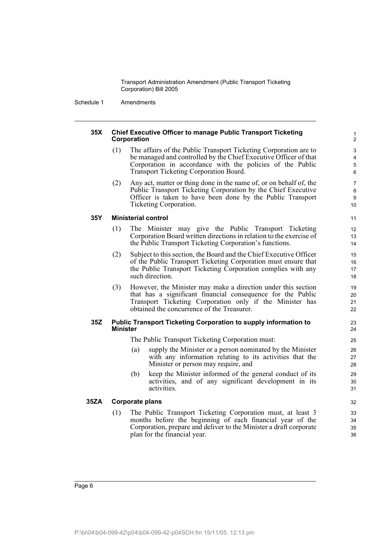Schedule 1 Amendments

#### **35X Chief Executive Officer to manage Public Transport Ticketing Corporation**

(1) The affairs of the Public Transport Ticketing Corporation are to be managed and controlled by the Chief Executive Officer of that Corporation in accordance with the policies of the Public Transport Ticketing Corporation Board.

(2) Any act, matter or thing done in the name of, or on behalf of, the Public Transport Ticketing Corporation by the Chief Executive Officer is taken to have been done by the Public Transport Ticketing Corporation.

#### **35Y Ministerial control**

- (1) The Minister may give the Public Transport Ticketing Corporation Board written directions in relation to the exercise of the Public Transport Ticketing Corporation's functions.
- (2) Subject to this section, the Board and the Chief Executive Officer of the Public Transport Ticketing Corporation must ensure that the Public Transport Ticketing Corporation complies with any such direction.
- (3) However, the Minister may make a direction under this section that has a significant financial consequence for the Public Transport Ticketing Corporation only if the Minister has obtained the concurrence of the Treasurer.

#### **35Z Public Transport Ticketing Corporation to supply information to Minister**

The Public Transport Ticketing Corporation must:

- (a) supply the Minister or a person nominated by the Minister with any information relating to its activities that the Minister or person may require, and
- (b) keep the Minister informed of the general conduct of its activities, and of any significant development in its activities.

#### **35ZA Corporate plans**

(1) The Public Transport Ticketing Corporation must, at least 3 months before the beginning of each financial year of the Corporation, prepare and deliver to the Minister a draft corporate plan for the financial year.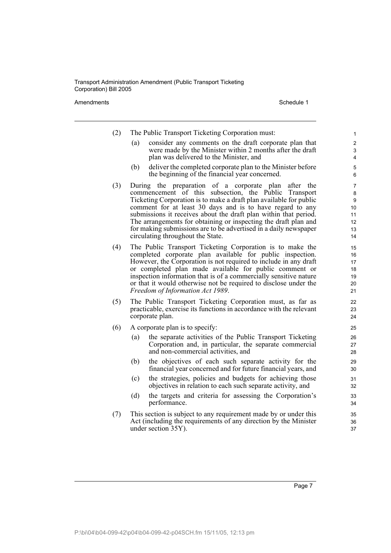Amendments Schedule 1

| (2) | (a)<br>(b) | The Public Transport Ticketing Corporation must:<br>consider any comments on the draft corporate plan that<br>were made by the Minister within 2 months after the draft<br>plan was delivered to the Minister, and<br>deliver the completed corporate plan to the Minister before<br>the beginning of the financial year concerned.                                                                                                                                                                       | 1<br>2<br>3<br>4<br>5<br>6                |
|-----|------------|-----------------------------------------------------------------------------------------------------------------------------------------------------------------------------------------------------------------------------------------------------------------------------------------------------------------------------------------------------------------------------------------------------------------------------------------------------------------------------------------------------------|-------------------------------------------|
| (3) |            | During the preparation of a corporate plan<br>after<br>the<br>commencement of this subsection, the Public<br>Transport<br>Ticketing Corporation is to make a draft plan available for public<br>comment for at least 30 days and is to have regard to any<br>submissions it receives about the draft plan within that period.<br>The arrangements for obtaining or inspecting the draft plan and<br>for making submissions are to be advertised in a daily newspaper<br>circulating throughout the State. | 7<br>8<br>9<br>10<br>11<br>12<br>13<br>14 |
| (4) |            | The Public Transport Ticketing Corporation is to make the<br>completed corporate plan available for public inspection.<br>However, the Corporation is not required to include in any draft<br>or completed plan made available for public comment or<br>inspection information that is of a commercially sensitive nature<br>or that it would otherwise not be required to disclose under the<br>Freedom of Information Act 1989.                                                                         | 15<br>16<br>17<br>18<br>19<br>20<br>21    |
| (5) |            | The Public Transport Ticketing Corporation must, as far as<br>practicable, exercise its functions in accordance with the relevant<br>corporate plan.                                                                                                                                                                                                                                                                                                                                                      | 22<br>23<br>24                            |
| (6) |            | A corporate plan is to specify:                                                                                                                                                                                                                                                                                                                                                                                                                                                                           | 25                                        |
|     | (a)        | the separate activities of the Public Transport Ticketing<br>Corporation and, in particular, the separate commercial<br>and non-commercial activities, and                                                                                                                                                                                                                                                                                                                                                | 26<br>27<br>28                            |
|     | (b)        | the objectives of each such separate activity for the<br>financial year concerned and for future financial years, and                                                                                                                                                                                                                                                                                                                                                                                     | 29<br>30                                  |
|     | (c)        | the strategies, policies and budgets for achieving those<br>objectives in relation to each such separate activity, and                                                                                                                                                                                                                                                                                                                                                                                    | 31<br>32                                  |
|     | (d)        | the targets and criteria for assessing the Corporation's<br>performance.                                                                                                                                                                                                                                                                                                                                                                                                                                  | 33<br>34                                  |
| (7) |            | This section is subject to any requirement made by or under this<br>Act (including the requirements of any direction by the Minister<br>under section 35Y).                                                                                                                                                                                                                                                                                                                                               | 35<br>36<br>37                            |
|     |            |                                                                                                                                                                                                                                                                                                                                                                                                                                                                                                           |                                           |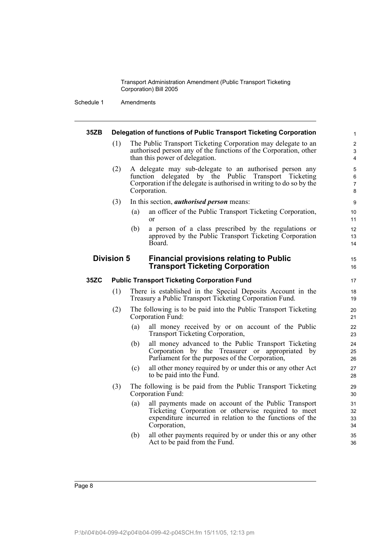Schedule 1 Amendments

| 35ZB                                                                                                          |     | Delegation of functions of Public Transport Ticketing Corporation                                                                                                                                                | 1                                       |
|---------------------------------------------------------------------------------------------------------------|-----|------------------------------------------------------------------------------------------------------------------------------------------------------------------------------------------------------------------|-----------------------------------------|
|                                                                                                               | (1) | The Public Transport Ticketing Corporation may delegate to an<br>authorised person any of the functions of the Corporation, other<br>than this power of delegation.                                              | $\overline{2}$<br>3<br>4                |
|                                                                                                               | (2) | A delegate may sub-delegate to an authorised person any<br>function delegated by the<br>Public<br>Transport<br>Ticketing<br>Corporation if the delegate is authorised in writing to do so by the<br>Corporation. | $\mathbf 5$<br>6<br>$\overline{7}$<br>8 |
|                                                                                                               | (3) | In this section, <i>authorised person</i> means:                                                                                                                                                                 | 9                                       |
|                                                                                                               |     | an officer of the Public Transport Ticketing Corporation,<br>(a)<br><sub>or</sub>                                                                                                                                | 10<br>11                                |
|                                                                                                               |     | (b)<br>a person of a class prescribed by the regulations or<br>approved by the Public Transport Ticketing Corporation<br>Board.                                                                                  | 12<br>13<br>14                          |
| <b>Division 5</b><br><b>Financial provisions relating to Public</b><br><b>Transport Ticketing Corporation</b> |     |                                                                                                                                                                                                                  |                                         |
| 35ZC                                                                                                          |     | <b>Public Transport Ticketing Corporation Fund</b>                                                                                                                                                               | 17                                      |
|                                                                                                               | (1) | There is established in the Special Deposits Account in the<br>Treasury a Public Transport Ticketing Corporation Fund.                                                                                           | 18<br>19                                |
|                                                                                                               | (2) | The following is to be paid into the Public Transport Ticketing<br>Corporation Fund:                                                                                                                             | 20<br>21                                |
|                                                                                                               |     | all money received by or on account of the Public<br>(a)<br><b>Transport Ticketing Corporation,</b>                                                                                                              | 22<br>23                                |
|                                                                                                               |     | (b)<br>all money advanced to the Public Transport Ticketing<br>Corporation by the Treasurer or appropriated by<br>Parliament for the purposes of the Corporation,                                                | 24<br>25<br>26                          |
|                                                                                                               |     | all other money required by or under this or any other Act<br>(c)<br>to be paid into the Fund.                                                                                                                   | 27<br>28                                |
|                                                                                                               | (3) | The following is be paid from the Public Transport Ticketing<br>Corporation Fund:                                                                                                                                | 29<br>30                                |
|                                                                                                               |     | all payments made on account of the Public Transport<br>(a)<br>Ticketing Corporation or otherwise required to meet<br>expenditure incurred in relation to the functions of the<br>Corporation,                   | 31<br>32<br>33<br>34                    |
|                                                                                                               |     | (b)<br>all other payments required by or under this or any other<br>Act to be paid from the Fund.                                                                                                                | 35<br>36                                |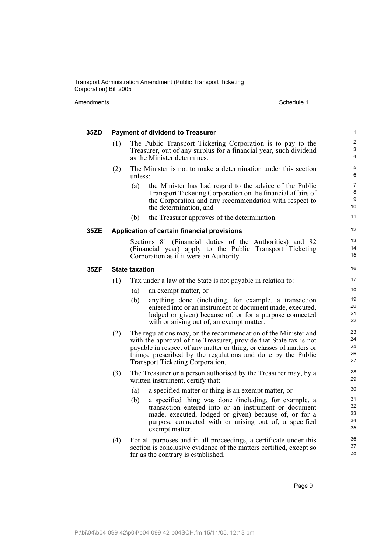Amendments Schedule 1

| 35ZD |                       | <b>Payment of dividend to Treasurer</b>                                                                                                                                                                                                                                                                               |  |  |
|------|-----------------------|-----------------------------------------------------------------------------------------------------------------------------------------------------------------------------------------------------------------------------------------------------------------------------------------------------------------------|--|--|
|      | (1)                   | The Public Transport Ticketing Corporation is to pay to the<br>Treasurer, out of any surplus for a financial year, such dividend<br>as the Minister determines.                                                                                                                                                       |  |  |
|      | (2)                   | The Minister is not to make a determination under this section<br>unless:                                                                                                                                                                                                                                             |  |  |
|      |                       | the Minister has had regard to the advice of the Public<br>(a)<br>Transport Ticketing Corporation on the financial affairs of<br>the Corporation and any recommendation with respect to<br>the determination, and                                                                                                     |  |  |
|      |                       | (b)<br>the Treasurer approves of the determination.                                                                                                                                                                                                                                                                   |  |  |
| 35ZE |                       | Application of certain financial provisions                                                                                                                                                                                                                                                                           |  |  |
|      |                       | Sections 81 (Financial duties of the Authorities) and 82<br>(Financial year) apply to the Public Transport Ticketing<br>Corporation as if it were an Authority.                                                                                                                                                       |  |  |
| 35ZF | <b>State taxation</b> |                                                                                                                                                                                                                                                                                                                       |  |  |
|      | (1)                   | Tax under a law of the State is not payable in relation to:                                                                                                                                                                                                                                                           |  |  |
|      |                       | (a)<br>an exempt matter, or                                                                                                                                                                                                                                                                                           |  |  |
|      |                       | (b)<br>anything done (including, for example, a transaction<br>entered into or an instrument or document made, executed,<br>lodged or given) because of, or for a purpose connected<br>with or arising out of, an exempt matter.                                                                                      |  |  |
|      | (2)                   | The regulations may, on the recommendation of the Minister and<br>with the approval of the Treasurer, provide that State tax is not<br>payable in respect of any matter or thing, or classes of matters or<br>things, prescribed by the regulations and done by the Public<br><b>Transport Ticketing Corporation.</b> |  |  |
|      | (3)                   | The Treasurer or a person authorised by the Treasurer may, by a<br>written instrument, certify that:                                                                                                                                                                                                                  |  |  |
|      |                       | a specified matter or thing is an exempt matter, or<br>(a)                                                                                                                                                                                                                                                            |  |  |
|      |                       | a specified thing was done (including, for example, a<br>(b)<br>transaction entered into or an instrument or document<br>made, executed, lodged or given) because of, or for a<br>purpose connected with or arising out of, a specified<br>exempt matter.                                                             |  |  |
|      | (4)                   | For all purposes and in all proceedings, a certificate under this<br>section is conclusive evidence of the matters certified, except so<br>far as the contrary is established.                                                                                                                                        |  |  |
|      |                       |                                                                                                                                                                                                                                                                                                                       |  |  |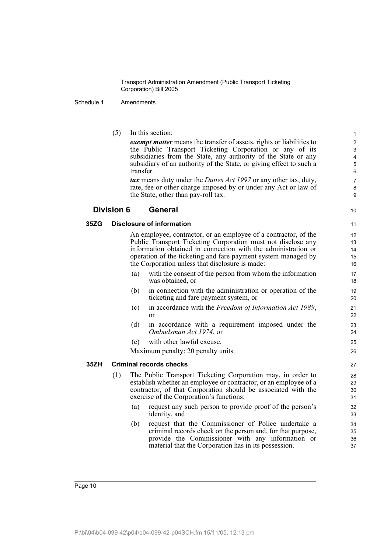Schedule 1 Amendments

(5) In this section:

*exempt matter* means the transfer of assets, rights or liabilities to the Public Transport Ticketing Corporation or any of its subsidiaries from the State, any authority of the State or any subsidiary of an authority of the State, or giving effect to such a transfer.

10

*tax* means duty under the *Duties Act 1997* or any other tax, duty, rate, fee or other charge imposed by or under any Act or law of the State, other than pay-roll tax.

## **Division 6 General**

**35ZG Disclosure of information**

An employee, contractor, or an employee of a contractor, of the Public Transport Ticketing Corporation must not disclose any information obtained in connection with the administration or operation of the ticketing and fare payment system managed by the Corporation unless that disclosure is made:

- (a) with the consent of the person from whom the information was obtained, or
- (b) in connection with the administration or operation of the ticketing and fare payment system, or
- (c) in accordance with the *Freedom of Information Act 1989*, or
- (d) in accordance with a requirement imposed under the *Ombudsman Act 1974*, or
- (e) with other lawful excuse.

Maximum penalty: 20 penalty units.

#### **35ZH Criminal records checks**

- (1) The Public Transport Ticketing Corporation may, in order to establish whether an employee or contractor, or an employee of a contractor, of that Corporation should be associated with the exercise of the Corporation's functions:
	- (a) request any such person to provide proof of the person's identity, and
	- (b) request that the Commissioner of Police undertake a criminal records check on the person and, for that purpose, provide the Commissioner with any information or material that the Corporation has in its possession.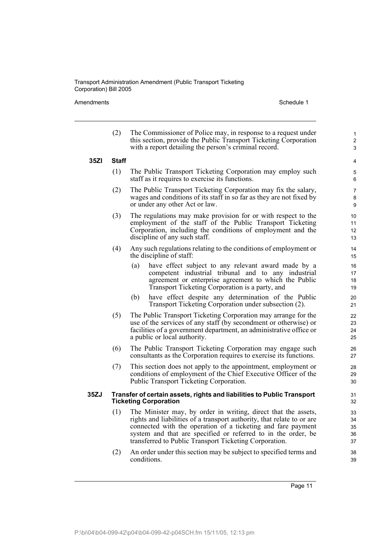Amendments **Schedule 1** Schedule 1

1 2 3

| (2) | The Commissioner of Police may, in response to a request under   |
|-----|------------------------------------------------------------------|
|     | this section, provide the Public Transport Ticketing Corporation |
|     | with a report detailing the person's criminal record.            |

#### **35ZI Staff**

- (1) The Public Transport Ticketing Corporation may employ such staff as it requires to exercise its functions.
- (2) The Public Transport Ticketing Corporation may fix the salary, wages and conditions of its staff in so far as they are not fixed by or under any other Act or law.
- (3) The regulations may make provision for or with respect to the employment of the staff of the Public Transport Ticketing Corporation, including the conditions of employment and the discipline of any such staff.
- (4) Any such regulations relating to the conditions of employment or the discipline of staff:
	- (a) have effect subject to any relevant award made by a competent industrial tribunal and to any industrial agreement or enterprise agreement to which the Public Transport Ticketing Corporation is a party, and
	- (b) have effect despite any determination of the Public Transport Ticketing Corporation under subsection (2).
- (5) The Public Transport Ticketing Corporation may arrange for the use of the services of any staff (by secondment or otherwise) or facilities of a government department, an administrative office or a public or local authority.
- (6) The Public Transport Ticketing Corporation may engage such consultants as the Corporation requires to exercise its functions.
- (7) This section does not apply to the appointment, employment or conditions of employment of the Chief Executive Officer of the Public Transport Ticketing Corporation.

#### **35ZJ Transfer of certain assets, rights and liabilities to Public Transport Ticketing Corporation**

- (1) The Minister may, by order in writing, direct that the assets, rights and liabilities of a transport authority, that relate to or are connected with the operation of a ticketing and fare payment system and that are specified or referred to in the order, be transferred to Public Transport Ticketing Corporation.
- (2) An order under this section may be subject to specified terms and conditions.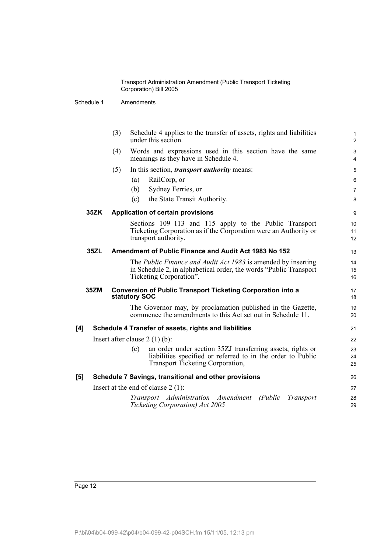Schedule 1 Amendments

|       |      | (3)                             | Schedule 4 applies to the transfer of assets, rights and liabilities<br>under this section.                                                                           | 1<br>$\overline{c}$ |  |  |
|-------|------|---------------------------------|-----------------------------------------------------------------------------------------------------------------------------------------------------------------------|---------------------|--|--|
|       |      | (4)                             | Words and expressions used in this section have the same<br>meanings as they have in Schedule 4.                                                                      | 3<br>4              |  |  |
|       |      | (5)                             | In this section, <i>transport authority</i> means:                                                                                                                    | 5                   |  |  |
|       |      |                                 | RailCorp, or<br>(a)                                                                                                                                                   | 6                   |  |  |
|       |      |                                 | (b)<br>Sydney Ferries, or                                                                                                                                             | 7                   |  |  |
|       |      |                                 | the State Transit Authority.<br>(c)                                                                                                                                   | 8                   |  |  |
|       | 35ZK |                                 | <b>Application of certain provisions</b>                                                                                                                              | 9                   |  |  |
|       |      |                                 | Sections 109–113 and 115 apply to the Public Transport<br>Ticketing Corporation as if the Corporation were an Authority or<br>transport authority.                    | 10<br>11<br>12      |  |  |
|       | 35ZL |                                 | Amendment of Public Finance and Audit Act 1983 No 152                                                                                                                 | 13                  |  |  |
|       |      |                                 | The <i>Public Finance and Audit Act 1983</i> is amended by inserting<br>in Schedule 2, in alphabetical order, the words "Public Transport"<br>Ticketing Corporation". | 14<br>15<br>16      |  |  |
|       | 35ZM |                                 | <b>Conversion of Public Transport Ticketing Corporation into a</b><br>statutory SOC                                                                                   | 17<br>18            |  |  |
|       |      |                                 | The Governor may, by proclamation published in the Gazette,<br>commence the amendments to this Act set out in Schedule 11.                                            | 19<br>20            |  |  |
| [4]   |      |                                 | Schedule 4 Transfer of assets, rights and liabilities                                                                                                                 | 21                  |  |  |
|       |      | Insert after clause $2(1)(b)$ : |                                                                                                                                                                       |                     |  |  |
|       |      |                                 | an order under section 35ZJ transferring assets, rights or<br>(c)<br>liabilities specified or referred to in the order to Public<br>Transport Ticketing Corporation,  | 23<br>24<br>25      |  |  |
| $[5]$ |      |                                 | Schedule 7 Savings, transitional and other provisions                                                                                                                 | 26                  |  |  |
|       |      |                                 | Insert at the end of clause $2(1)$ :                                                                                                                                  | 27                  |  |  |
|       |      |                                 | Transport Administration Amendment (Public<br>Transport<br><b>Ticketing Corporation</b> ) Act 2005                                                                    | 28<br>29            |  |  |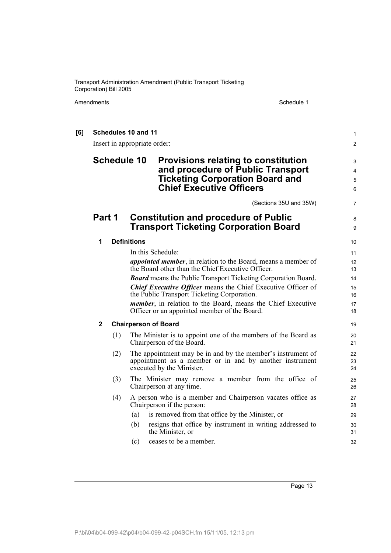Amendments Schedule 1

| [6] |              |     | Schedules 10 and 11<br>Insert in appropriate order: |                                                                                                                                                                                                                                                                                                                                                                                                                                                              | 1<br>2                                       |
|-----|--------------|-----|-----------------------------------------------------|--------------------------------------------------------------------------------------------------------------------------------------------------------------------------------------------------------------------------------------------------------------------------------------------------------------------------------------------------------------------------------------------------------------------------------------------------------------|----------------------------------------------|
|     |              |     | <b>Schedule 10</b>                                  | <b>Provisions relating to constitution</b><br>and procedure of Public Transport<br><b>Ticketing Corporation Board and</b><br><b>Chief Executive Officers</b>                                                                                                                                                                                                                                                                                                 | 3<br>4<br>5<br>6                             |
|     |              |     |                                                     | (Sections 35U and 35W)                                                                                                                                                                                                                                                                                                                                                                                                                                       | 7                                            |
|     | Part 1       |     |                                                     | <b>Constitution and procedure of Public</b><br><b>Transport Ticketing Corporation Board</b>                                                                                                                                                                                                                                                                                                                                                                  | 8<br>9                                       |
|     | 1            |     | <b>Definitions</b>                                  |                                                                                                                                                                                                                                                                                                                                                                                                                                                              | 10                                           |
|     |              |     |                                                     | In this Schedule:<br><i>appointed member</i> , in relation to the Board, means a member of<br>the Board other than the Chief Executive Officer.<br><b>Board</b> means the Public Transport Ticketing Corporation Board.<br><b>Chief Executive Officer</b> means the Chief Executive Officer of<br>the Public Transport Ticketing Corporation.<br>member, in relation to the Board, means the Chief Executive<br>Officer or an appointed member of the Board. | 11<br>12<br>13<br>14<br>15<br>16<br>17<br>18 |
|     | $\mathbf{2}$ |     |                                                     | <b>Chairperson of Board</b>                                                                                                                                                                                                                                                                                                                                                                                                                                  | 19                                           |
|     |              | (1) |                                                     | The Minister is to appoint one of the members of the Board as<br>Chairperson of the Board.                                                                                                                                                                                                                                                                                                                                                                   | 20<br>21                                     |
|     |              | (2) |                                                     | The appointment may be in and by the member's instrument of<br>appointment as a member or in and by another instrument<br>executed by the Minister.                                                                                                                                                                                                                                                                                                          | 22<br>23<br>24                               |
|     |              | (3) |                                                     | The Minister may remove a member from the office of<br>Chairperson at any time.                                                                                                                                                                                                                                                                                                                                                                              | 25<br>26                                     |
|     |              | (4) |                                                     | A person who is a member and Chairperson vacates office as<br>Chairperson if the person:                                                                                                                                                                                                                                                                                                                                                                     | 27<br>28                                     |
|     |              |     | (a)                                                 | is removed from that office by the Minister, or                                                                                                                                                                                                                                                                                                                                                                                                              | 29                                           |
|     |              |     | (b)                                                 | resigns that office by instrument in writing addressed to<br>the Minister, or                                                                                                                                                                                                                                                                                                                                                                                | 30<br>31                                     |
|     |              |     | (c)                                                 | ceases to be a member.                                                                                                                                                                                                                                                                                                                                                                                                                                       | 32                                           |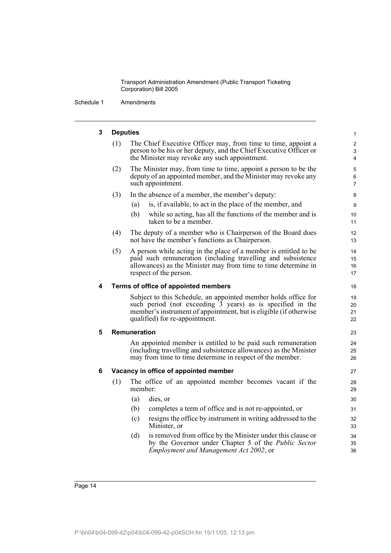Schedule 1 Amendments

# **3 Deputies**

| 3 |     | <b>Deputies</b>                                                                                                                                                                                                                     | 1                        |
|---|-----|-------------------------------------------------------------------------------------------------------------------------------------------------------------------------------------------------------------------------------------|--------------------------|
|   | (1) | The Chief Executive Officer may, from time to time, appoint a<br>person to be his or her deputy, and the Chief Executive Officer or<br>the Minister may revoke any such appointment.                                                | $\overline{2}$<br>3<br>4 |
|   | (2) | The Minister may, from time to time, appoint a person to be the<br>deputy of an appointed member, and the Minister may revoke any<br>such appointment.                                                                              | 5<br>6<br>$\overline{7}$ |
|   | (3) | In the absence of a member, the member's deputy:                                                                                                                                                                                    | 8                        |
|   |     | is, if available, to act in the place of the member, and<br>(a)                                                                                                                                                                     | 9                        |
|   |     | (b)<br>while so acting, has all the functions of the member and is<br>taken to be a member.                                                                                                                                         | 10<br>11                 |
|   | (4) | The deputy of a member who is Chairperson of the Board does<br>not have the member's functions as Chairperson.                                                                                                                      | 12<br>13                 |
|   | (5) | A person while acting in the place of a member is entitled to be<br>paid such remuneration (including travelling and subsistence<br>allowances) as the Minister may from time to time determine in<br>respect of the person.        | 14<br>15<br>16<br>17     |
| 4 |     | Terms of office of appointed members                                                                                                                                                                                                | 18                       |
|   |     | Subject to this Schedule, an appointed member holds office for<br>such period (not exceeding 3 years) as is specified in the<br>member's instrument of appointment, but is eligible (if otherwise<br>qualified) for re-appointment. | 19<br>20<br>21<br>22     |
| 5 |     | Remuneration                                                                                                                                                                                                                        | 23                       |
|   |     | An appointed member is entitled to be paid such remuneration<br>(including travelling and subsistence allowances) as the Minister<br>may from time to time determine in respect of the member.                                      | 24<br>25<br>26           |
| 6 |     | Vacancy in office of appointed member                                                                                                                                                                                               | 27                       |
|   | (1) | The office of an appointed member becomes vacant if the<br>member:                                                                                                                                                                  | 28<br>29                 |
|   |     | (a)<br>dies, or                                                                                                                                                                                                                     | 30                       |
|   |     | completes a term of office and is not re-appointed, or<br>(b)                                                                                                                                                                       | 31                       |
|   |     | resigns the office by instrument in writing addressed to the<br>(c)<br>Minister, or                                                                                                                                                 | 32<br>33                 |
|   |     | is removed from office by the Minister under this clause or<br>(d)<br>by the Governor under Chapter 5 of the Public Sector<br><i>Employment and Management Act 2002, or</i>                                                         | 34<br>35<br>36           |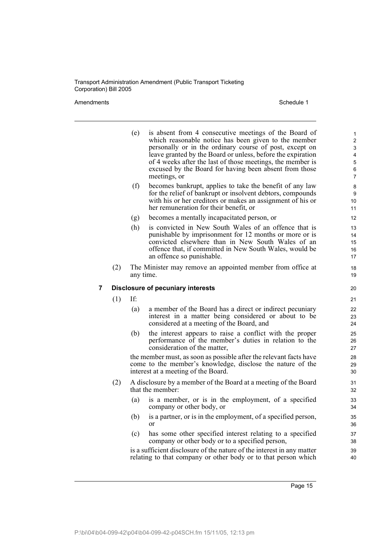Amendments Schedule 1

|   |     | (e)                                                                                                                                                                     | is absent from 4 consecutive meetings of the Board of<br>which reasonable notice has been given to the member<br>personally or in the ordinary course of post, except on<br>leave granted by the Board or unless, before the expiration<br>of 4 weeks after the last of those meetings, the member is<br>excused by the Board for having been absent from those<br>meetings, or | $\mathbf{1}$<br>$\overline{2}$<br>3<br>4<br>5<br>6<br>$\overline{7}$ |  |  |  |  |  |
|---|-----|-------------------------------------------------------------------------------------------------------------------------------------------------------------------------|---------------------------------------------------------------------------------------------------------------------------------------------------------------------------------------------------------------------------------------------------------------------------------------------------------------------------------------------------------------------------------|----------------------------------------------------------------------|--|--|--|--|--|
|   |     | (f)                                                                                                                                                                     | becomes bankrupt, applies to take the benefit of any law<br>for the relief of bankrupt or insolvent debtors, compounds<br>with his or her creditors or makes an assignment of his or<br>her remuneration for their benefit, or                                                                                                                                                  | 8<br>9<br>10<br>11                                                   |  |  |  |  |  |
|   |     | (g)                                                                                                                                                                     | becomes a mentally incapacitated person, or                                                                                                                                                                                                                                                                                                                                     | 12                                                                   |  |  |  |  |  |
|   |     | (h)                                                                                                                                                                     | is convicted in New South Wales of an offence that is<br>punishable by imprisonment for 12 months or more or is<br>convicted elsewhere than in New South Wales of an<br>offence that, if committed in New South Wales, would be<br>an offence so punishable.                                                                                                                    | 13<br>14<br>15<br>16<br>17                                           |  |  |  |  |  |
|   | (2) | The Minister may remove an appointed member from office at<br>any time.                                                                                                 |                                                                                                                                                                                                                                                                                                                                                                                 | 18<br>19                                                             |  |  |  |  |  |
| 7 |     | <b>Disclosure of pecuniary interests</b>                                                                                                                                |                                                                                                                                                                                                                                                                                                                                                                                 |                                                                      |  |  |  |  |  |
|   | (1) | If:                                                                                                                                                                     |                                                                                                                                                                                                                                                                                                                                                                                 | 21                                                                   |  |  |  |  |  |
|   |     | (a)                                                                                                                                                                     | a member of the Board has a direct or indirect pecuniary<br>interest in a matter being considered or about to be<br>considered at a meeting of the Board, and                                                                                                                                                                                                                   | 22<br>23<br>24                                                       |  |  |  |  |  |
|   |     | (b)                                                                                                                                                                     | the interest appears to raise a conflict with the proper<br>performance of the member's duties in relation to the<br>consideration of the matter,                                                                                                                                                                                                                               | 25<br>26<br>27                                                       |  |  |  |  |  |
|   |     | the member must, as soon as possible after the relevant facts have<br>come to the member's knowledge, disclose the nature of the<br>interest at a meeting of the Board. |                                                                                                                                                                                                                                                                                                                                                                                 |                                                                      |  |  |  |  |  |
|   | (2) | A disclosure by a member of the Board at a meeting of the Board<br>that the member:                                                                                     |                                                                                                                                                                                                                                                                                                                                                                                 |                                                                      |  |  |  |  |  |
|   |     | (a)                                                                                                                                                                     | is a member, or is in the employment, of a specified<br>company or other body, or                                                                                                                                                                                                                                                                                               | 33<br>34                                                             |  |  |  |  |  |
|   |     | (b)                                                                                                                                                                     | is a partner, or is in the employment, of a specified person,<br><sub>or</sub>                                                                                                                                                                                                                                                                                                  | 35<br>36                                                             |  |  |  |  |  |
|   |     | (c)                                                                                                                                                                     | has some other specified interest relating to a specified<br>company or other body or to a specified person,                                                                                                                                                                                                                                                                    | 37<br>38                                                             |  |  |  |  |  |
|   |     |                                                                                                                                                                         | is a sufficient disclosure of the nature of the interest in any matter                                                                                                                                                                                                                                                                                                          | 39                                                                   |  |  |  |  |  |

is a sufficient disclosure of the nature of the interest in any matter relating to that company or other body or to that person which

Page 15

40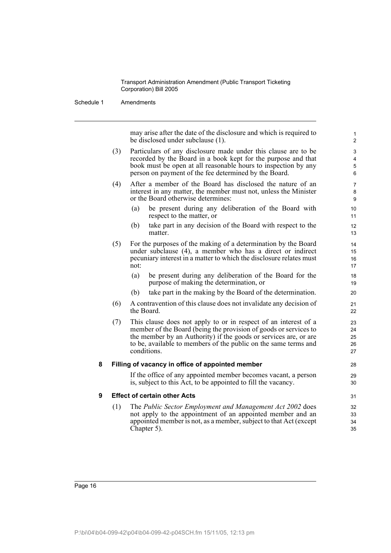Schedule 1 Amendments

may arise after the date of the disclosure and which is required to be disclosed under subclause (1).

- (3) Particulars of any disclosure made under this clause are to be recorded by the Board in a book kept for the purpose and that book must be open at all reasonable hours to inspection by any person on payment of the fee determined by the Board.
- (4) After a member of the Board has disclosed the nature of an interest in any matter, the member must not, unless the Minister or the Board otherwise determines:
	- (a) be present during any deliberation of the Board with respect to the matter, or
	- (b) take part in any decision of the Board with respect to the matter.
- (5) For the purposes of the making of a determination by the Board under subclause (4), a member who has a direct or indirect pecuniary interest in a matter to which the disclosure relates must not:
	- (a) be present during any deliberation of the Board for the purpose of making the determination, or
	- (b) take part in the making by the Board of the determination.
- (6) A contravention of this clause does not invalidate any decision of the Board.
- (7) This clause does not apply to or in respect of an interest of a member of the Board (being the provision of goods or services to the member by an Authority) if the goods or services are, or are to be, available to members of the public on the same terms and conditions.

#### **8 Filling of vacancy in office of appointed member**

If the office of any appointed member becomes vacant, a person is, subject to this Act, to be appointed to fill the vacancy.

#### **9 Effect of certain other Acts**

(1) The *Public Sector Employment and Management Act 2002* does not apply to the appointment of an appointed member and an appointed member is not, as a member, subject to that Act (except Chapter 5).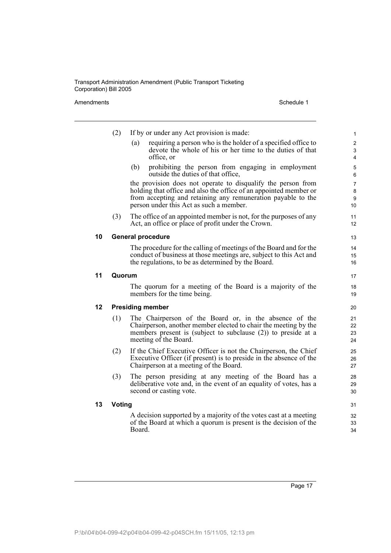### Amendments Schedule 1

|    | (2)                      | If by or under any Act provision is made:                                                                                                                                                                                                    | $\mathbf{1}$                   |  |  |
|----|--------------------------|----------------------------------------------------------------------------------------------------------------------------------------------------------------------------------------------------------------------------------------------|--------------------------------|--|--|
|    |                          | requiring a person who is the holder of a specified office to<br>(a)<br>devote the whole of his or her time to the duties of that<br>office, or                                                                                              | $\overline{2}$<br>3<br>4       |  |  |
|    |                          | prohibiting the person from engaging in employment<br>(b)<br>outside the duties of that office,                                                                                                                                              | 5<br>6                         |  |  |
|    |                          | the provision does not operate to disqualify the person from<br>holding that office and also the office of an appointed member or<br>from accepting and retaining any remuneration payable to the<br>person under this Act as such a member. | $\overline{7}$<br>8<br>9<br>10 |  |  |
|    | (3)                      | The office of an appointed member is not, for the purposes of any<br>Act, an office or place of profit under the Crown.                                                                                                                      |                                |  |  |
| 10 | <b>General procedure</b> |                                                                                                                                                                                                                                              |                                |  |  |
|    |                          | The procedure for the calling of meetings of the Board and for the<br>conduct of business at those meetings are, subject to this Act and<br>the regulations, to be as determined by the Board.                                               | 14<br>15<br>16                 |  |  |
| 11 | Quorum                   |                                                                                                                                                                                                                                              |                                |  |  |
|    |                          | The quorum for a meeting of the Board is a majority of the<br>members for the time being.                                                                                                                                                    | 18<br>19                       |  |  |
| 12 |                          | <b>Presiding member</b>                                                                                                                                                                                                                      | 20                             |  |  |
|    | (1)                      | The Chairperson of the Board or, in the absence of the<br>Chairperson, another member elected to chair the meeting by the<br>members present is (subject to subclause (2)) to preside at a<br>meeting of the Board.                          | 21<br>22<br>23<br>24           |  |  |
|    | (2)                      | If the Chief Executive Officer is not the Chairperson, the Chief<br>Executive Officer (if present) is to preside in the absence of the<br>Chairperson at a meeting of the Board.                                                             | 25<br>26<br>27                 |  |  |
|    | (3)                      | The person presiding at any meeting of the Board has a<br>deliberative vote and, in the event of an equality of votes, has a<br>second or casting vote.                                                                                      | 28<br>29<br>30                 |  |  |
| 13 | Voting                   |                                                                                                                                                                                                                                              |                                |  |  |
|    |                          | A decision supported by a majority of the votes cast at a meeting<br>of the Board at which a quorum is present is the decision of the<br>Board.                                                                                              | 32<br>33<br>34                 |  |  |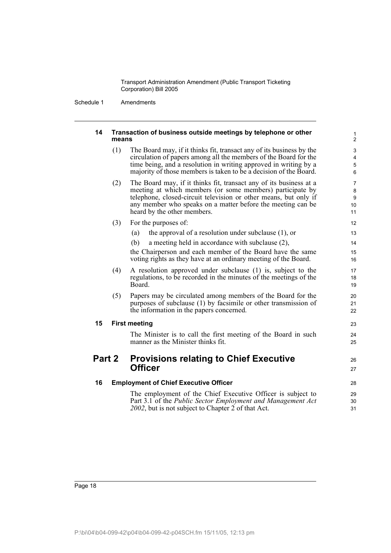Schedule 1 Amendments

| 14<br>Transaction of business outside meetings by telephone or other<br>means<br>(1)<br>The Board may, if it thinks fit, transact any of its business by the<br>circulation of papers among all the members of the Board for the<br>time being, and a resolution in writing approved in writing by a<br>majority of those members is taken to be a decision of the Board.<br>(2)<br>The Board may, if it thinks fit, transact any of its business at a<br>meeting at which members (or some members) participate by<br>telephone, closed-circuit television or other means, but only if<br>any member who speaks on a matter before the meeting can be<br>heard by the other members.<br>(3)<br>For the purposes of:<br>the approval of a resolution under subclause $(1)$ , or<br>(a)<br>a meeting held in accordance with subclause (2),<br>(b)<br>the Chairperson and each member of the Board have the same<br>voting rights as they have at an ordinary meeting of the Board.<br>(4)<br>A resolution approved under subclause (1) is, subject to the<br>regulations, to be recorded in the minutes of the meetings of the<br>Board.<br>(5)<br>Papers may be circulated among members of the Board for the<br>purposes of subclause (1) by facsimile or other transmission of<br>the information in the papers concerned.<br>15<br><b>First meeting</b><br>The Minister is to call the first meeting of the Board in such<br>manner as the Minister thinks fit.<br>Part 2<br><b>Provisions relating to Chief Executive</b><br><b>Officer</b><br>16<br><b>Employment of Chief Executive Officer</b><br>The employment of the Chief Executive Officer is subject to<br>Part 3.1 of the Public Sector Employment and Management Act<br>2002, but is not subject to Chapter 2 of that Act. |  |  |  |
|--------------------------------------------------------------------------------------------------------------------------------------------------------------------------------------------------------------------------------------------------------------------------------------------------------------------------------------------------------------------------------------------------------------------------------------------------------------------------------------------------------------------------------------------------------------------------------------------------------------------------------------------------------------------------------------------------------------------------------------------------------------------------------------------------------------------------------------------------------------------------------------------------------------------------------------------------------------------------------------------------------------------------------------------------------------------------------------------------------------------------------------------------------------------------------------------------------------------------------------------------------------------------------------------------------------------------------------------------------------------------------------------------------------------------------------------------------------------------------------------------------------------------------------------------------------------------------------------------------------------------------------------------------------------------------------------------------------------------------------------------------------------------------------------|--|--|--|
|                                                                                                                                                                                                                                                                                                                                                                                                                                                                                                                                                                                                                                                                                                                                                                                                                                                                                                                                                                                                                                                                                                                                                                                                                                                                                                                                                                                                                                                                                                                                                                                                                                                                                                                                                                                            |  |  |  |
|                                                                                                                                                                                                                                                                                                                                                                                                                                                                                                                                                                                                                                                                                                                                                                                                                                                                                                                                                                                                                                                                                                                                                                                                                                                                                                                                                                                                                                                                                                                                                                                                                                                                                                                                                                                            |  |  |  |
|                                                                                                                                                                                                                                                                                                                                                                                                                                                                                                                                                                                                                                                                                                                                                                                                                                                                                                                                                                                                                                                                                                                                                                                                                                                                                                                                                                                                                                                                                                                                                                                                                                                                                                                                                                                            |  |  |  |
|                                                                                                                                                                                                                                                                                                                                                                                                                                                                                                                                                                                                                                                                                                                                                                                                                                                                                                                                                                                                                                                                                                                                                                                                                                                                                                                                                                                                                                                                                                                                                                                                                                                                                                                                                                                            |  |  |  |
|                                                                                                                                                                                                                                                                                                                                                                                                                                                                                                                                                                                                                                                                                                                                                                                                                                                                                                                                                                                                                                                                                                                                                                                                                                                                                                                                                                                                                                                                                                                                                                                                                                                                                                                                                                                            |  |  |  |
|                                                                                                                                                                                                                                                                                                                                                                                                                                                                                                                                                                                                                                                                                                                                                                                                                                                                                                                                                                                                                                                                                                                                                                                                                                                                                                                                                                                                                                                                                                                                                                                                                                                                                                                                                                                            |  |  |  |
|                                                                                                                                                                                                                                                                                                                                                                                                                                                                                                                                                                                                                                                                                                                                                                                                                                                                                                                                                                                                                                                                                                                                                                                                                                                                                                                                                                                                                                                                                                                                                                                                                                                                                                                                                                                            |  |  |  |
|                                                                                                                                                                                                                                                                                                                                                                                                                                                                                                                                                                                                                                                                                                                                                                                                                                                                                                                                                                                                                                                                                                                                                                                                                                                                                                                                                                                                                                                                                                                                                                                                                                                                                                                                                                                            |  |  |  |
|                                                                                                                                                                                                                                                                                                                                                                                                                                                                                                                                                                                                                                                                                                                                                                                                                                                                                                                                                                                                                                                                                                                                                                                                                                                                                                                                                                                                                                                                                                                                                                                                                                                                                                                                                                                            |  |  |  |
|                                                                                                                                                                                                                                                                                                                                                                                                                                                                                                                                                                                                                                                                                                                                                                                                                                                                                                                                                                                                                                                                                                                                                                                                                                                                                                                                                                                                                                                                                                                                                                                                                                                                                                                                                                                            |  |  |  |
|                                                                                                                                                                                                                                                                                                                                                                                                                                                                                                                                                                                                                                                                                                                                                                                                                                                                                                                                                                                                                                                                                                                                                                                                                                                                                                                                                                                                                                                                                                                                                                                                                                                                                                                                                                                            |  |  |  |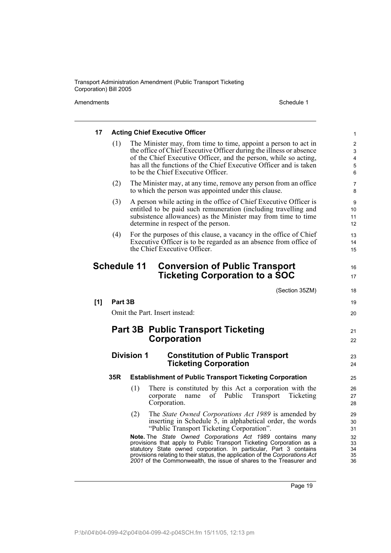Amendments Schedule 1

| 17                 |         | <b>Acting Chief Executive Officer</b>                                                                                                     |  |
|--------------------|---------|-------------------------------------------------------------------------------------------------------------------------------------------|--|
|                    | (1)     | The Minister may, from time to time, appoint a person to act in<br>the office of Chief Executive Officer during the illness or absence    |  |
|                    |         | of the Chief Executive Officer, and the person, while so acting,<br>has all the functions of the Chief Executive Officer and is taken     |  |
|                    |         | to be the Chief Executive Officer.                                                                                                        |  |
|                    | (2)     | The Minister may, at any time, remove any person from an office<br>to which the person was appointed under this clause.                   |  |
|                    | (3)     | A person while acting in the office of Chief Executive Officer is                                                                         |  |
|                    |         | entitled to be paid such remuneration (including travelling and<br>subsistence allowances) as the Minister may from time to time          |  |
|                    |         | determine in respect of the person.                                                                                                       |  |
|                    | (4)     | For the purposes of this clause, a vacancy in the office of Chief                                                                         |  |
|                    |         | Executive Officer is to be regarded as an absence from office of<br>the Chief Executive Officer.                                          |  |
|                    |         |                                                                                                                                           |  |
| <b>Schedule 11</b> |         | <b>Conversion of Public Transport</b><br><b>Ticketing Corporation to a SOC</b>                                                            |  |
|                    |         |                                                                                                                                           |  |
|                    |         |                                                                                                                                           |  |
|                    |         | (Section 35ZM)                                                                                                                            |  |
| [1]                | Part 3B |                                                                                                                                           |  |
|                    |         | Omit the Part. Insert instead:                                                                                                            |  |
|                    |         | <b>Part 3B Public Transport Ticketing</b>                                                                                                 |  |
|                    |         | Corporation                                                                                                                               |  |
|                    |         | <b>Division 1</b>                                                                                                                         |  |
|                    |         | <b>Constitution of Public Transport</b><br><b>Ticketing Corporation</b>                                                                   |  |
|                    | 35R     | <b>Establishment of Public Transport Ticketing Corporation</b>                                                                            |  |
|                    |         | (1)<br>There is constituted by this Act a corporation with the                                                                            |  |
|                    |         | of Public<br>Transport<br>Ticketing<br>corporate<br>name<br>Corporation.                                                                  |  |
|                    |         | The State Owned Corporations Act 1989 is amended by<br>(2)                                                                                |  |
|                    |         | inserting in Schedule 5, in alphabetical order, the words                                                                                 |  |
|                    |         | "Public Transport Ticketing Corporation".<br>Note. The State Owned Corporations Act 1989 contains many                                    |  |
|                    |         | provisions that apply to Public Transport Ticketing Corporation as a<br>statutory State owned corporation. In particular, Part 3 contains |  |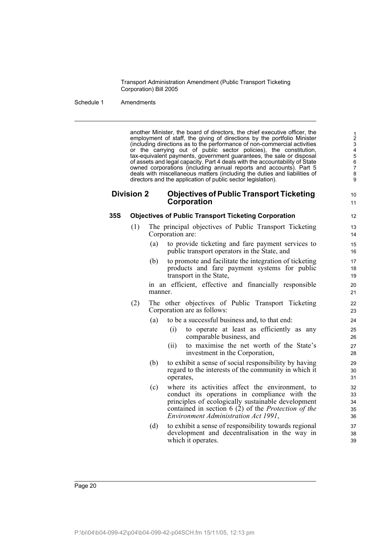Schedule 1 Amendments

another Minister, the board of directors, the chief executive officer, the employment of staff, the giving of directions by the portfolio Minister (including directions as to the performance of non-commercial activities or the carrying out of public sector policies), the constitution, tax-equivalent payments, government guarantees, the sale or disposal of assets and legal capacity. Part 4 deals with the accountability of State owned corporations (including annual reports and accounts). Part 5 deals with miscellaneous matters (including the duties and liabilities of directors and the application of public sector legislation).

### **Division 2 Objectives of Public Transport Ticketing Corporation**

#### **35S Objectives of Public Transport Ticketing Corporation**

- (1) The principal objectives of Public Transport Ticketing Corporation are:
	- (a) to provide ticketing and fare payment services to public transport operators in the State, and
	- (b) to promote and facilitate the integration of ticketing products and fare payment systems for public transport in the State,

in an efficient, effective and financially responsible manner.

- (2) The other objectives of Public Transport Ticketing Corporation are as follows:
	- (a) to be a successful business and, to that end:
		- (i) to operate at least as efficiently as any comparable business, and
		- (ii) to maximise the net worth of the State's investment in the Corporation,
	- (b) to exhibit a sense of social responsibility by having regard to the interests of the community in which it operates,
	- (c) where its activities affect the environment, to conduct its operations in compliance with the principles of ecologically sustainable development contained in section 6 (2) of the *Protection of the Environment Administration Act 1991*,
	- (d) to exhibit a sense of responsibility towards regional development and decentralisation in the way in which it operates.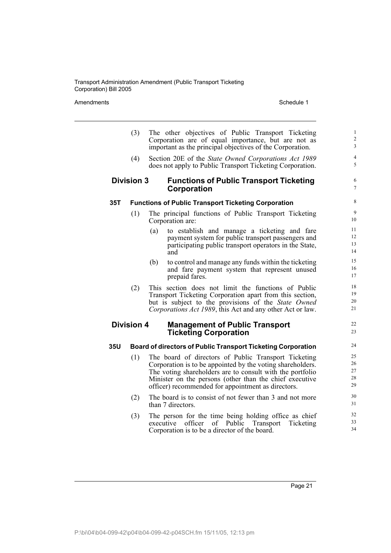Amendments Schedule 1

|     | (3)                                                                                        | The other objectives of Public Transport Ticketing<br>Corporation are of equal importance, but are not as<br>important as the principal objectives of the Corporation.                                                                                                                           | $\mathbf{1}$<br>$\sqrt{2}$<br>3 |  |  |  |
|-----|--------------------------------------------------------------------------------------------|--------------------------------------------------------------------------------------------------------------------------------------------------------------------------------------------------------------------------------------------------------------------------------------------------|---------------------------------|--|--|--|
|     | (4)                                                                                        | Section 20E of the State Owned Corporations Act 1989<br>does not apply to Public Transport Ticketing Corporation.                                                                                                                                                                                | $\overline{4}$<br>5             |  |  |  |
|     | <b>Division 3</b><br><b>Functions of Public Transport Ticketing</b><br>Corporation         |                                                                                                                                                                                                                                                                                                  |                                 |  |  |  |
| 35T |                                                                                            | <b>Functions of Public Transport Ticketing Corporation</b>                                                                                                                                                                                                                                       | 8                               |  |  |  |
|     | (1)                                                                                        | The principal functions of Public Transport Ticketing<br>Corporation are:                                                                                                                                                                                                                        | 9<br>10                         |  |  |  |
|     |                                                                                            | to establish and manage a ticketing and fare<br>(a)<br>payment system for public transport passengers and<br>participating public transport operators in the State,<br>and                                                                                                                       | 11<br>12<br>13<br>14            |  |  |  |
|     |                                                                                            | to control and manage any funds within the ticketing<br>(b)<br>and fare payment system that represent unused<br>prepaid fares.                                                                                                                                                                   | 15<br>16<br>17                  |  |  |  |
|     | (2)                                                                                        | This section does not limit the functions of Public<br>Transport Ticketing Corporation apart from this section,<br>but is subject to the provisions of the State Owned<br>Corporations Act 1989, this Act and any other Act or law.                                                              | 18<br>19<br>20<br>21            |  |  |  |
|     | <b>Division 4</b><br><b>Management of Public Transport</b><br><b>Ticketing Corporation</b> |                                                                                                                                                                                                                                                                                                  |                                 |  |  |  |
| 35U |                                                                                            | <b>Board of directors of Public Transport Ticketing Corporation</b>                                                                                                                                                                                                                              | 24                              |  |  |  |
|     | (1)                                                                                        | The board of directors of Public Transport Ticketing<br>Corporation is to be appointed by the voting shareholders.<br>The voting shareholders are to consult with the portfolio<br>Minister on the persons (other than the chief executive<br>officer) recommended for appointment as directors. | 25<br>26<br>27<br>28<br>29      |  |  |  |
|     | (2)                                                                                        | The board is to consist of not fewer than 3 and not more<br>than 7 directors.                                                                                                                                                                                                                    | 30<br>31                        |  |  |  |
|     | (3)                                                                                        | The person for the time being holding office as chief<br>executive<br>officer<br>of<br>Public<br>Transport<br>Ticketing<br>Corporation is to be a director of the board.                                                                                                                         | 32<br>33<br>34                  |  |  |  |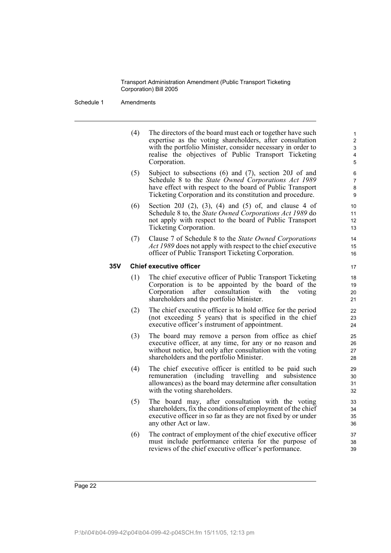Schedule 1 Amendments

(4) The directors of the board must each or together have such expertise as the voting shareholders, after consultation with the portfolio Minister, consider necessary in order to realise the objectives of Public Transport Ticketing Corporation.

- (5) Subject to subsections (6) and (7), section 20J of and Schedule 8 to the *State Owned Corporations Act 1989* have effect with respect to the board of Public Transport Ticketing Corporation and its constitution and procedure.
- (6) Section 20J (2), (3), (4) and (5) of, and clause 4 of Schedule 8 to, the *State Owned Corporations Act 1989* do not apply with respect to the board of Public Transport Ticketing Corporation.
- (7) Clause 7 of Schedule 8 to the *State Owned Corporations Act 1989* does not apply with respect to the chief executive officer of Public Transport Ticketing Corporation.

#### **35V Chief executive officer**

- (1) The chief executive officer of Public Transport Ticketing Corporation is to be appointed by the board of the Corporation after consultation with the voting shareholders and the portfolio Minister.
- (2) The chief executive officer is to hold office for the period (not exceeding 5 years) that is specified in the chief executive officer's instrument of appointment.
- (3) The board may remove a person from office as chief executive officer, at any time, for any or no reason and without notice, but only after consultation with the voting shareholders and the portfolio Minister.
- (4) The chief executive officer is entitled to be paid such remuneration (including travelling and subsistence allowances) as the board may determine after consultation with the voting shareholders.
- (5) The board may, after consultation with the voting shareholders, fix the conditions of employment of the chief executive officer in so far as they are not fixed by or under any other Act or law.
- (6) The contract of employment of the chief executive officer must include performance criteria for the purpose of reviews of the chief executive officer's performance.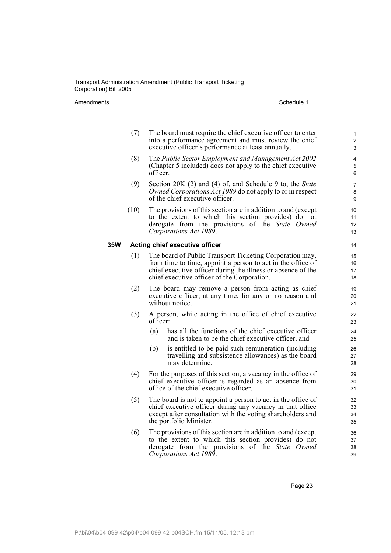Amendments **Schedule 1** Schedule 1

- (7) The board must require the chief executive officer to enter into a performance agreement and must review the chief executive officer's performance at least annually.
- (8) The *Public Sector Employment and Management Act 2002* (Chapter 5 included) does not apply to the chief executive officer.
- (9) Section 20K (2) and (4) of, and Schedule 9 to, the *State Owned Corporations Act 1989* do not apply to or in respect of the chief executive officer.
- (10) The provisions of this section are in addition to and (except to the extent to which this section provides) do not derogate from the provisions of the *State Owned Corporations Act 1989*.

#### **35W Acting chief executive officer**

- (1) The board of Public Transport Ticketing Corporation may, from time to time, appoint a person to act in the office of chief executive officer during the illness or absence of the chief executive officer of the Corporation.
- (2) The board may remove a person from acting as chief executive officer, at any time, for any or no reason and without notice.
- (3) A person, while acting in the office of chief executive officer:
	- (a) has all the functions of the chief executive officer and is taken to be the chief executive officer, and
	- (b) is entitled to be paid such remuneration (including travelling and subsistence allowances) as the board may determine.
- (4) For the purposes of this section, a vacancy in the office of chief executive officer is regarded as an absence from office of the chief executive officer.
- (5) The board is not to appoint a person to act in the office of chief executive officer during any vacancy in that office except after consultation with the voting shareholders and the portfolio Minister.
- (6) The provisions of this section are in addition to and (except to the extent to which this section provides) do not derogate from the provisions of the *State Owned Corporations Act 1989*.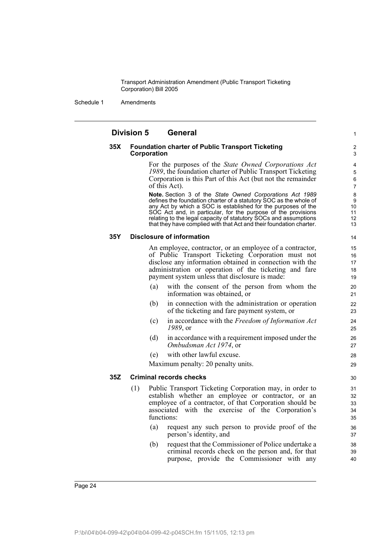Schedule 1 Amendments

### **Division 5 General**

#### **35X Foundation charter of Public Transport Ticketing Corporation**

For the purposes of the *State Owned Corporations Act 1989*, the foundation charter of Public Transport Ticketing Corporation is this Part of this Act (but not the remainder of this Act).

1

**Note.** Section 3 of the *State Owned Corporations Act 1989* defines the foundation charter of a statutory SOC as the whole of any Act by which a SOC is established for the purposes of the SOC Act and, in particular, for the purpose of the provisions relating to the legal capacity of statutory SOCs and assumptions that they have complied with that Act and their foundation charter.

#### **35Y Disclosure of information**

An employee, contractor, or an employee of a contractor, of Public Transport Ticketing Corporation must not disclose any information obtained in connection with the administration or operation of the ticketing and fare payment system unless that disclosure is made:

- (a) with the consent of the person from whom the information was obtained, or
- (b) in connection with the administration or operation of the ticketing and fare payment system, or
- (c) in accordance with the *Freedom of Information Act 1989*, or
- (d) in accordance with a requirement imposed under the *Ombudsman Act 1974*, or
- (e) with other lawful excuse.

Maximum penalty: 20 penalty units.

#### **35Z Criminal records checks**

- (1) Public Transport Ticketing Corporation may, in order to establish whether an employee or contractor, or an employee of a contractor, of that Corporation should be associated with the exercise of the Corporation's functions:
	- (a) request any such person to provide proof of the person's identity, and
	- (b) request that the Commissioner of Police undertake a criminal records check on the person and, for that purpose, provide the Commissioner with any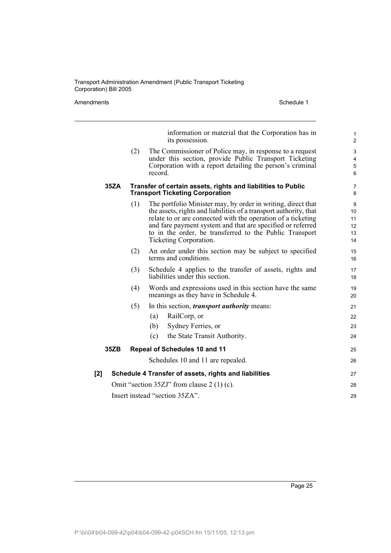Amendments Schedule 1

29

information or material that the Corporation has in its possession.

(2) The Commissioner of Police may, in response to a request under this section, provide Public Transport Ticketing Corporation with a report detailing the person's criminal record.

#### **35ZA Transfer of certain assets, rights and liabilities to Public Transport Ticketing Corporation**

- (1) The portfolio Minister may, by order in writing, direct that the assets, rights and liabilities of a transport authority, that relate to or are connected with the operation of a ticketing and fare payment system and that are specified or referred to in the order, be transferred to the Public Transport Ticketing Corporation. (2) An order under this section may be subject to specified terms and conditions.
- (3) Schedule 4 applies to the transfer of assets, rights and liabilities under this section.
- (4) Words and expressions used in this section have the same meanings as they have in Schedule 4.
- (5) In this section, *transport authority* means:
- (a) RailCorp, or (b) Sydney Ferries, or (c) the State Transit Authority. **35ZB Repeal of Schedules 10 and 11** Schedules 10 and 11 are repealed. 22 23  $24$ 25 26
- **[2] Schedule 4 Transfer of assets, rights and liabilities** Omit "section 35ZJ" from clause 2 (1) (c). 27 28

Insert instead "section 35ZA".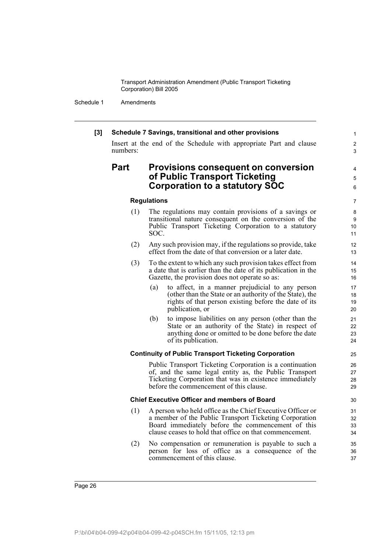Schedule 1 Amendments

|  | [3] | Schedule 7 Savings, transitional and other provisions                          |                                                                                                                                                                                                                                      |                      |  |  |  |
|--|-----|--------------------------------------------------------------------------------|--------------------------------------------------------------------------------------------------------------------------------------------------------------------------------------------------------------------------------------|----------------------|--|--|--|
|  |     | Insert at the end of the Schedule with appropriate Part and clause<br>numbers: |                                                                                                                                                                                                                                      |                      |  |  |  |
|  |     | <b>Part</b>                                                                    | <b>Provisions consequent on conversion</b><br>of Public Transport Ticketing<br><b>Corporation to a statutory SOC</b>                                                                                                                 | 4<br>5<br>6          |  |  |  |
|  |     |                                                                                | <b>Regulations</b>                                                                                                                                                                                                                   | $\overline{7}$       |  |  |  |
|  |     | (1)                                                                            | The regulations may contain provisions of a savings or<br>transitional nature consequent on the conversion of the<br>Public Transport Ticketing Corporation to a statutory<br>SOC.                                                   | 8<br>9<br>10<br>11   |  |  |  |
|  |     | (2)                                                                            | Any such provision may, if the regulations so provide, take<br>effect from the date of that conversion or a later date.                                                                                                              | 12<br>13             |  |  |  |
|  |     | (3)                                                                            | To the extent to which any such provision takes effect from<br>a date that is earlier than the date of its publication in the<br>Gazette, the provision does not operate so as:                                                      | 14<br>15<br>16       |  |  |  |
|  |     |                                                                                | to affect, in a manner prejudicial to any person<br>(a)<br>(other than the State or an authority of the State), the<br>rights of that person existing before the date of its<br>publication, or                                      | 17<br>18<br>19<br>20 |  |  |  |
|  |     |                                                                                | (b)<br>to impose liabilities on any person (other than the<br>State or an authority of the State) in respect of<br>anything done or omitted to be done before the date<br>of its publication.                                        | 21<br>22<br>23<br>24 |  |  |  |
|  |     |                                                                                | <b>Continuity of Public Transport Ticketing Corporation</b>                                                                                                                                                                          | 25                   |  |  |  |
|  |     |                                                                                | Public Transport Ticketing Corporation is a continuation<br>of, and the same legal entity as, the Public Transport<br>Ticketing Corporation that was in existence immediately<br>before the commencement of this clause.             | 26<br>27<br>28<br>29 |  |  |  |
|  |     |                                                                                | <b>Chief Executive Officer and members of Board</b>                                                                                                                                                                                  | 30                   |  |  |  |
|  |     | (1)                                                                            | A person who held office as the Chief Executive Officer or<br>a member of the Public Transport Ticketing Corporation<br>Board immediately before the commencement of this<br>clause ceases to hold that office on that commencement. | 31<br>32<br>33<br>34 |  |  |  |
|  |     | (2)                                                                            | No compensation or remuneration is payable to such a<br>person for loss of office as a consequence of the<br>commencement of this clause.                                                                                            | 35<br>36<br>37       |  |  |  |